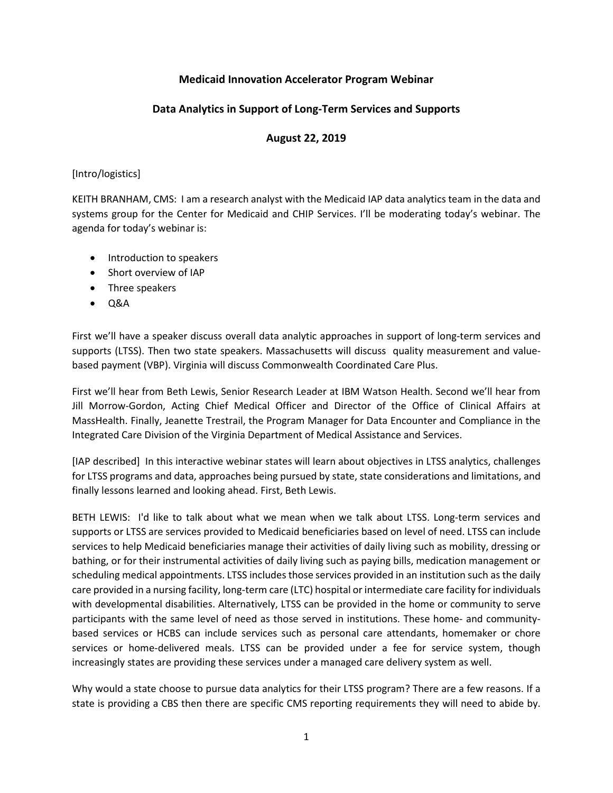## **Medicaid Innovation Accelerator Program Webinar**

# **Data Analytics in Support of Long-Term Services and Supports**

### **August 22, 2019**

### [Intro/logistics]

KEITH BRANHAM, CMS: I am a research analyst with the Medicaid IAP data analytics team in the data and systems group for the Center for Medicaid and CHIP Services. I'll be moderating today's webinar. The agenda for today's webinar is:

- Introduction to speakers
- Short overview of IAP
- Three speakers
- Q&A

First we'll have a speaker discuss overall data analytic approaches in support of long-term services and supports (LTSS). Then two state speakers. Massachusetts will discuss quality measurement and valuebased payment (VBP). Virginia will discuss Commonwealth Coordinated Care Plus.

First we'll hear from Beth Lewis, Senior Research Leader at IBM Watson Health. Second we'll hear from Jill Morrow-Gordon, Acting Chief Medical Officer and Director of the Office of Clinical Affairs at MassHealth. Finally, Jeanette Trestrail, the Program Manager for Data Encounter and Compliance in the Integrated Care Division of the Virginia Department of Medical Assistance and Services.

[IAP described] In this interactive webinar states will learn about objectives in LTSS analytics, challenges for LTSS programs and data, approaches being pursued by state, state considerations and limitations, and finally lessons learned and looking ahead. First, Beth Lewis.

BETH LEWIS: I'd like to talk about what we mean when we talk about LTSS. Long-term services and supports or LTSS are services provided to Medicaid beneficiaries based on level of need. LTSS can include services to help Medicaid beneficiaries manage their activities of daily living such as mobility, dressing or bathing, or for their instrumental activities of daily living such as paying bills, medication management or scheduling medical appointments. LTSS includes those services provided in an institution such as the daily care provided in a nursing facility, long-term care (LTC) hospital or intermediate care facility for individuals with developmental disabilities. Alternatively, LTSS can be provided in the home or community to serve participants with the same level of need as those served in institutions. These home- and communitybased services or HCBS can include services such as personal care attendants, homemaker or chore services or home-delivered meals. LTSS can be provided under a fee for service system, though increasingly states are providing these services under a managed care delivery system as well.

Why would a state choose to pursue data analytics for their LTSS program? There are a few reasons. If a state is providing a CBS then there are specific CMS reporting requirements they will need to abide by.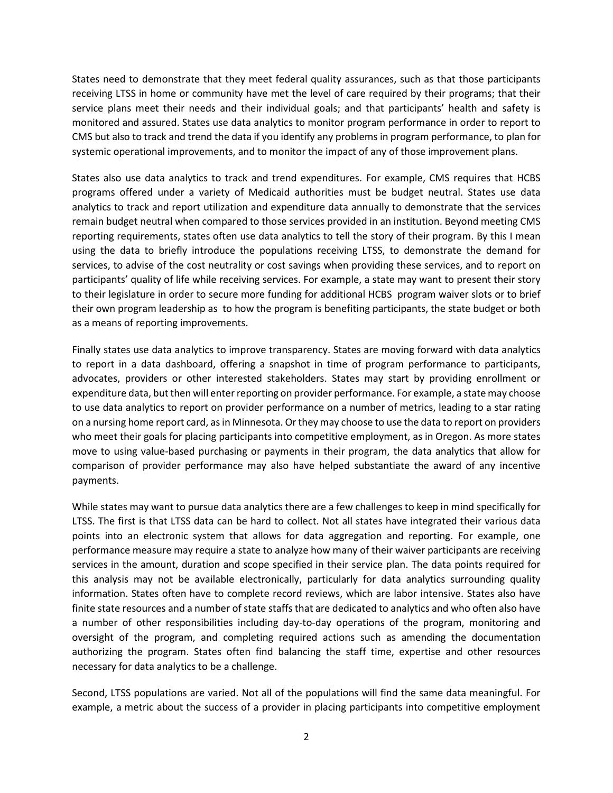States need to demonstrate that they meet federal quality assurances, such as that those participants receiving LTSS in home or community have met the level of care required by their programs; that their service plans meet their needs and their individual goals; and that participants' health and safety is monitored and assured. States use data analytics to monitor program performance in order to report to CMS but also to track and trend the data if you identify any problems in program performance, to plan for systemic operational improvements, and to monitor the impact of any of those improvement plans.

States also use data analytics to track and trend expenditures. For example, CMS requires that HCBS programs offered under a variety of Medicaid authorities must be budget neutral. States use data analytics to track and report utilization and expenditure data annually to demonstrate that the services remain budget neutral when compared to those services provided in an institution. Beyond meeting CMS reporting requirements, states often use data analytics to tell the story of their program. By this I mean using the data to briefly introduce the populations receiving LTSS, to demonstrate the demand for services, to advise of the cost neutrality or cost savings when providing these services, and to report on participants' quality of life while receiving services. For example, a state may want to present their story to their legislature in order to secure more funding for additional HCBS program waiver slots or to brief their own program leadership as to how the program is benefiting participants, the state budget or both as a means of reporting improvements.

Finally states use data analytics to improve transparency. States are moving forward with data analytics to report in a data dashboard, offering a snapshot in time of program performance to participants, advocates, providers or other interested stakeholders. States may start by providing enrollment or expenditure data, but then will enter reporting on provider performance. For example, a state may choose to use data analytics to report on provider performance on a number of metrics, leading to a star rating on a nursing home report card, as in Minnesota. Or they may choose to use the data to report on providers who meet their goals for placing participants into competitive employment, as in Oregon. As more states move to using value-based purchasing or payments in their program, the data analytics that allow for comparison of provider performance may also have helped substantiate the award of any incentive payments.

While states may want to pursue data analytics there are a few challenges to keep in mind specifically for LTSS. The first is that LTSS data can be hard to collect. Not all states have integrated their various data points into an electronic system that allows for data aggregation and reporting. For example, one performance measure may require a state to analyze how many of their waiver participants are receiving services in the amount, duration and scope specified in their service plan. The data points required for this analysis may not be available electronically, particularly for data analytics surrounding quality information. States often have to complete record reviews, which are labor intensive. States also have finite state resources and a number of state staffs that are dedicated to analytics and who often also have a number of other responsibilities including day-to-day operations of the program, monitoring and oversight of the program, and completing required actions such as amending the documentation authorizing the program. States often find balancing the staff time, expertise and other resources necessary for data analytics to be a challenge.

Second, LTSS populations are varied. Not all of the populations will find the same data meaningful. For example, a metric about the success of a provider in placing participants into competitive employment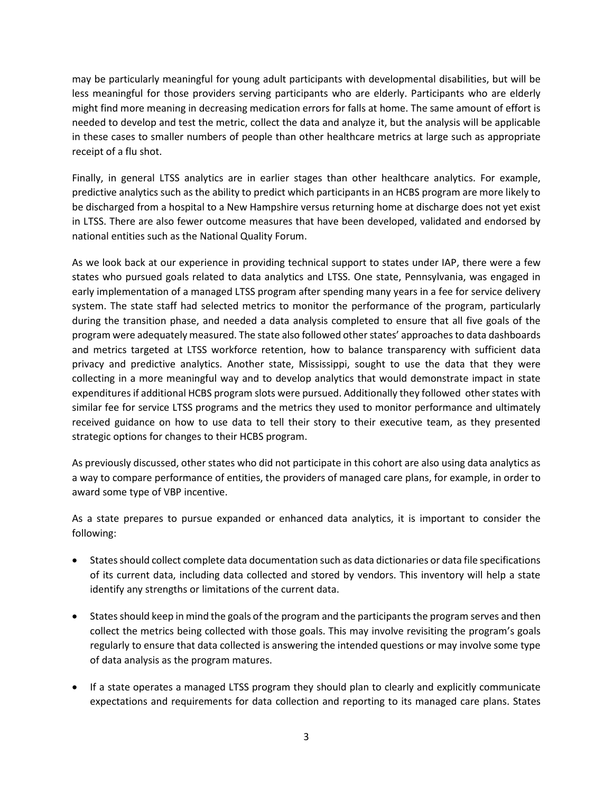may be particularly meaningful for young adult participants with developmental disabilities, but will be less meaningful for those providers serving participants who are elderly. Participants who are elderly might find more meaning in decreasing medication errors for falls at home. The same amount of effort is needed to develop and test the metric, collect the data and analyze it, but the analysis will be applicable in these cases to smaller numbers of people than other healthcare metrics at large such as appropriate receipt of a flu shot.

Finally, in general LTSS analytics are in earlier stages than other healthcare analytics. For example, predictive analytics such as the ability to predict which participants in an HCBS program are more likely to be discharged from a hospital to a New Hampshire versus returning home at discharge does not yet exist in LTSS. There are also fewer outcome measures that have been developed, validated and endorsed by national entities such as the National Quality Forum.

As we look back at our experience in providing technical support to states under IAP, there were a few states who pursued goals related to data analytics and LTSS. One state, Pennsylvania, was engaged in early implementation of a managed LTSS program after spending many years in a fee for service delivery system. The state staff had selected metrics to monitor the performance of the program, particularly during the transition phase, and needed a data analysis completed to ensure that all five goals of the program were adequately measured. The state also followed other states' approaches to data dashboards and metrics targeted at LTSS workforce retention, how to balance transparency with sufficient data privacy and predictive analytics. Another state, Mississippi, sought to use the data that they were collecting in a more meaningful way and to develop analytics that would demonstrate impact in state expenditures if additional HCBS program slots were pursued. Additionally they followed other states with similar fee for service LTSS programs and the metrics they used to monitor performance and ultimately received guidance on how to use data to tell their story to their executive team, as they presented strategic options for changes to their HCBS program.

As previously discussed, other states who did not participate in this cohort are also using data analytics as a way to compare performance of entities, the providers of managed care plans, for example, in order to award some type of VBP incentive.

As a state prepares to pursue expanded or enhanced data analytics, it is important to consider the following:

- States should collect complete data documentation such as data dictionaries or data file specifications of its current data, including data collected and stored by vendors. This inventory will help a state identify any strengths or limitations of the current data.
- States should keep in mind the goals of the program and the participants the program serves and then collect the metrics being collected with those goals. This may involve revisiting the program's goals regularly to ensure that data collected is answering the intended questions or may involve some type of data analysis as the program matures.
- If a state operates a managed LTSS program they should plan to clearly and explicitly communicate expectations and requirements for data collection and reporting to its managed care plans. States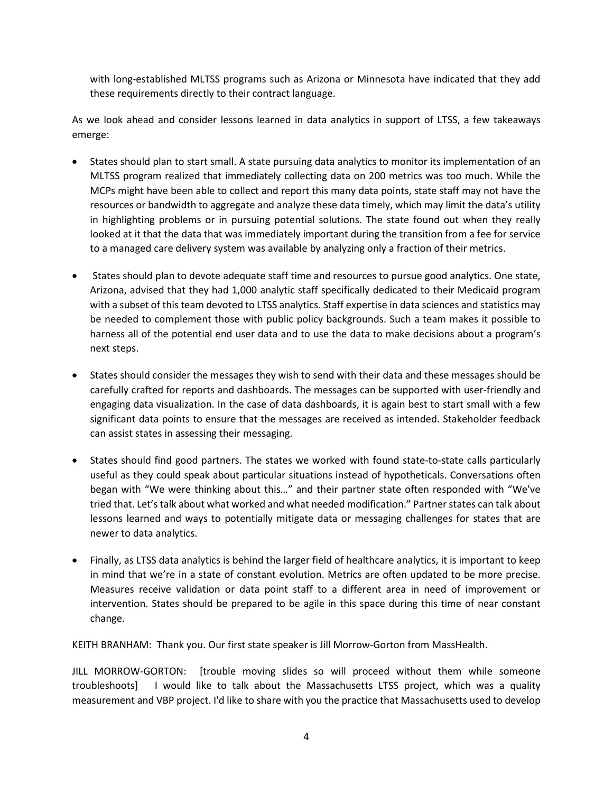with long-established MLTSS programs such as Arizona or Minnesota have indicated that they add these requirements directly to their contract language.

As we look ahead and consider lessons learned in data analytics in support of LTSS, a few takeaways emerge:

- States should plan to start small. A state pursuing data analytics to monitor its implementation of an MLTSS program realized that immediately collecting data on 200 metrics was too much. While the MCPs might have been able to collect and report this many data points, state staff may not have the resources or bandwidth to aggregate and analyze these data timely, which may limit the data's utility in highlighting problems or in pursuing potential solutions. The state found out when they really looked at it that the data that was immediately important during the transition from a fee for service to a managed care delivery system was available by analyzing only a fraction of their metrics.
- States should plan to devote adequate staff time and resources to pursue good analytics. One state, Arizona, advised that they had 1,000 analytic staff specifically dedicated to their Medicaid program with a subset of this team devoted to LTSS analytics. Staff expertise in data sciences and statistics may be needed to complement those with public policy backgrounds. Such a team makes it possible to harness all of the potential end user data and to use the data to make decisions about a program's next steps.
- States should consider the messages they wish to send with their data and these messages should be carefully crafted for reports and dashboards. The messages can be supported with user-friendly and engaging data visualization. In the case of data dashboards, it is again best to start small with a few significant data points to ensure that the messages are received as intended. Stakeholder feedback can assist states in assessing their messaging.
- States should find good partners. The states we worked with found state-to-state calls particularly useful as they could speak about particular situations instead of hypotheticals. Conversations often began with "We were thinking about this…" and their partner state often responded with "We've tried that. Let's talk about what worked and what needed modification." Partner states can talk about lessons learned and ways to potentially mitigate data or messaging challenges for states that are newer to data analytics.
- Finally, as LTSS data analytics is behind the larger field of healthcare analytics, it is important to keep in mind that we're in a state of constant evolution. Metrics are often updated to be more precise. Measures receive validation or data point staff to a different area in need of improvement or intervention. States should be prepared to be agile in this space during this time of near constant change.

KEITH BRANHAM: Thank you. Our first state speaker is Jill Morrow-Gorton from MassHealth.

JILL MORROW-GORTON: [trouble moving slides so will proceed without them while someone troubleshoots] I would like to talk about the Massachusetts LTSS project, which was a quality measurement and VBP project. I'd like to share with you the practice that Massachusetts used to develop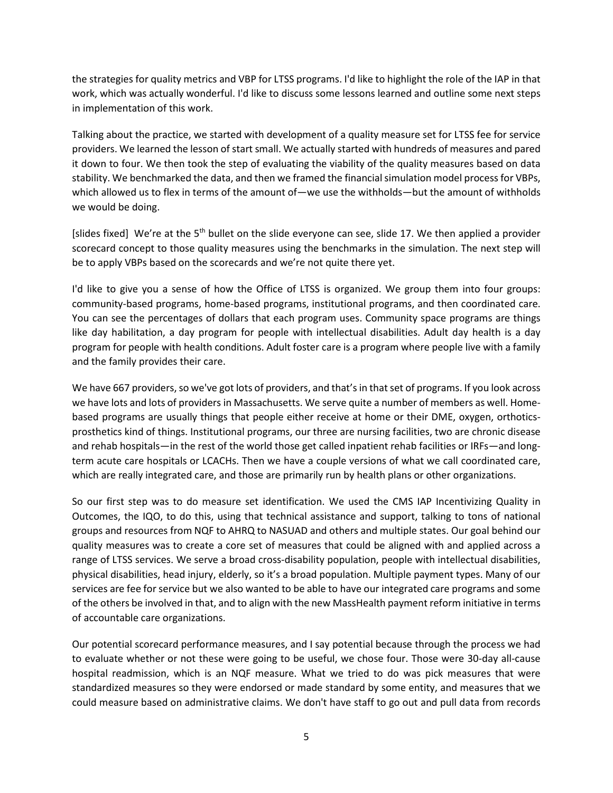the strategies for quality metrics and VBP for LTSS programs. I'd like to highlight the role of the IAP in that work, which was actually wonderful. I'd like to discuss some lessons learned and outline some next steps in implementation of this work.

Talking about the practice, we started with development of a quality measure set for LTSS fee for service providers. We learned the lesson of start small. We actually started with hundreds of measures and pared it down to four. We then took the step of evaluating the viability of the quality measures based on data stability. We benchmarked the data, and then we framed the financial simulation model process for VBPs, which allowed us to flex in terms of the amount of—we use the withholds—but the amount of withholds we would be doing.

[slides fixed] We're at the  $5<sup>th</sup>$  bullet on the slide everyone can see, slide 17. We then applied a provider scorecard concept to those quality measures using the benchmarks in the simulation. The next step will be to apply VBPs based on the scorecards and we're not quite there yet.

I'd like to give you a sense of how the Office of LTSS is organized. We group them into four groups: community-based programs, home-based programs, institutional programs, and then coordinated care. You can see the percentages of dollars that each program uses. Community space programs are things like day habilitation, a day program for people with intellectual disabilities. Adult day health is a day program for people with health conditions. Adult foster care is a program where people live with a family and the family provides their care.

We have 667 providers, so we've got lots of providers, and that's in that set of programs. If you look across we have lots and lots of providers in Massachusetts. We serve quite a number of members as well. Homebased programs are usually things that people either receive at home or their DME, oxygen, orthoticsprosthetics kind of things. Institutional programs, our three are nursing facilities, two are chronic disease and rehab hospitals—in the rest of the world those get called inpatient rehab facilities or IRFs—and longterm acute care hospitals or LCACHs. Then we have a couple versions of what we call coordinated care, which are really integrated care, and those are primarily run by health plans or other organizations.

So our first step was to do measure set identification. We used the CMS IAP Incentivizing Quality in Outcomes, the IQO, to do this, using that technical assistance and support, talking to tons of national groups and resources from NQF to AHRQ to NASUAD and others and multiple states. Our goal behind our quality measures was to create a core set of measures that could be aligned with and applied across a range of LTSS services. We serve a broad cross-disability population, people with intellectual disabilities, physical disabilities, head injury, elderly, so it's a broad population. Multiple payment types. Many of our services are fee for service but we also wanted to be able to have our integrated care programs and some of the others be involved in that, and to align with the new MassHealth payment reform initiative in terms of accountable care organizations.

Our potential scorecard performance measures, and I say potential because through the process we had to evaluate whether or not these were going to be useful, we chose four. Those were 30-day all-cause hospital readmission, which is an NQF measure. What we tried to do was pick measures that were standardized measures so they were endorsed or made standard by some entity, and measures that we could measure based on administrative claims. We don't have staff to go out and pull data from records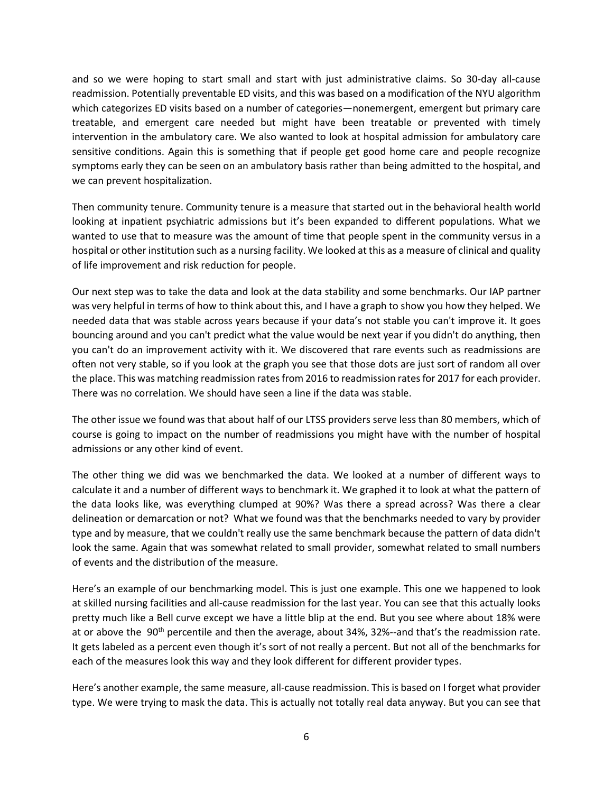and so we were hoping to start small and start with just administrative claims. So 30-day all-cause readmission. Potentially preventable ED visits, and this was based on a modification of the NYU algorithm which categorizes ED visits based on a number of categories—nonemergent, emergent but primary care treatable, and emergent care needed but might have been treatable or prevented with timely intervention in the ambulatory care. We also wanted to look at hospital admission for ambulatory care sensitive conditions. Again this is something that if people get good home care and people recognize symptoms early they can be seen on an ambulatory basis rather than being admitted to the hospital, and we can prevent hospitalization.

Then community tenure. Community tenure is a measure that started out in the behavioral health world looking at inpatient psychiatric admissions but it's been expanded to different populations. What we wanted to use that to measure was the amount of time that people spent in the community versus in a hospital or other institution such as a nursing facility. We looked at this as a measure of clinical and quality of life improvement and risk reduction for people.

Our next step was to take the data and look at the data stability and some benchmarks. Our IAP partner was very helpful in terms of how to think about this, and I have a graph to show you how they helped. We needed data that was stable across years because if your data's not stable you can't improve it. It goes bouncing around and you can't predict what the value would be next year if you didn't do anything, then you can't do an improvement activity with it. We discovered that rare events such as readmissions are often not very stable, so if you look at the graph you see that those dots are just sort of random all over the place. This was matching readmission ratesfrom 2016 to readmission rates for 2017 for each provider. There was no correlation. We should have seen a line if the data was stable.

The other issue we found was that about half of our LTSS providers serve less than 80 members, which of course is going to impact on the number of readmissions you might have with the number of hospital admissions or any other kind of event.

The other thing we did was we benchmarked the data. We looked at a number of different ways to calculate it and a number of different ways to benchmark it. We graphed it to look at what the pattern of the data looks like, was everything clumped at 90%? Was there a spread across? Was there a clear delineation or demarcation or not? What we found was that the benchmarks needed to vary by provider type and by measure, that we couldn't really use the same benchmark because the pattern of data didn't look the same. Again that was somewhat related to small provider, somewhat related to small numbers of events and the distribution of the measure.

Here's an example of our benchmarking model. This is just one example. This one we happened to look at skilled nursing facilities and all-cause readmission for the last year. You can see that this actually looks pretty much like a Bell curve except we have a little blip at the end. But you see where about 18% were at or above the 90<sup>th</sup> percentile and then the average, about 34%, 32%--and that's the readmission rate. It gets labeled as a percent even though it's sort of not really a percent. But not all of the benchmarks for each of the measures look this way and they look different for different provider types.

Here's another example, the same measure, all-cause readmission. This is based on I forget what provider type. We were trying to mask the data. This is actually not totally real data anyway. But you can see that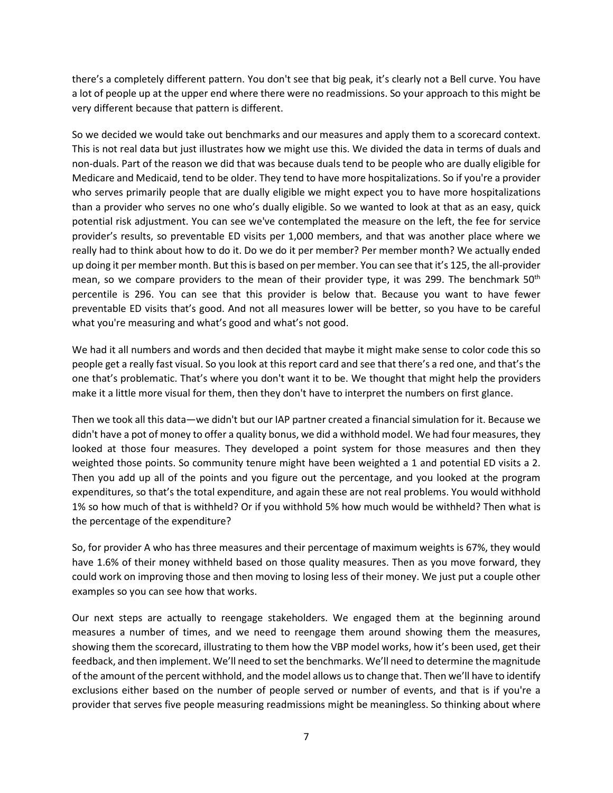there's a completely different pattern. You don't see that big peak, it's clearly not a Bell curve. You have a lot of people up at the upper end where there were no readmissions. So your approach to this might be very different because that pattern is different.

So we decided we would take out benchmarks and our measures and apply them to a scorecard context. This is not real data but just illustrates how we might use this. We divided the data in terms of duals and non-duals. Part of the reason we did that was because duals tend to be people who are dually eligible for Medicare and Medicaid, tend to be older. They tend to have more hospitalizations. So if you're a provider who serves primarily people that are dually eligible we might expect you to have more hospitalizations than a provider who serves no one who's dually eligible. So we wanted to look at that as an easy, quick potential risk adjustment. You can see we've contemplated the measure on the left, the fee for service provider's results, so preventable ED visits per 1,000 members, and that was another place where we really had to think about how to do it. Do we do it per member? Per member month? We actually ended up doing it per member month. But this is based on per member. You can see that it's 125, the all-provider mean, so we compare providers to the mean of their provider type, it was 299. The benchmark 50<sup>th</sup> percentile is 296. You can see that this provider is below that. Because you want to have fewer preventable ED visits that's good. And not all measures lower will be better, so you have to be careful what you're measuring and what's good and what's not good.

We had it all numbers and words and then decided that maybe it might make sense to color code this so people get a really fast visual. So you look at this report card and see that there's a red one, and that's the one that's problematic. That's where you don't want it to be. We thought that might help the providers make it a little more visual for them, then they don't have to interpret the numbers on first glance.

Then we took all this data—we didn't but our IAP partner created a financial simulation for it. Because we didn't have a pot of money to offer a quality bonus, we did a withhold model. We had four measures, they looked at those four measures. They developed a point system for those measures and then they weighted those points. So community tenure might have been weighted a 1 and potential ED visits a 2. Then you add up all of the points and you figure out the percentage, and you looked at the program expenditures, so that's the total expenditure, and again these are not real problems. You would withhold 1% so how much of that is withheld? Or if you withhold 5% how much would be withheld? Then what is the percentage of the expenditure?

So, for provider A who has three measures and their percentage of maximum weights is 67%, they would have 1.6% of their money withheld based on those quality measures. Then as you move forward, they could work on improving those and then moving to losing less of their money. We just put a couple other examples so you can see how that works.

Our next steps are actually to reengage stakeholders. We engaged them at the beginning around measures a number of times, and we need to reengage them around showing them the measures, showing them the scorecard, illustrating to them how the VBP model works, how it's been used, get their feedback, and then implement. We'll need to set the benchmarks. We'll need to determine the magnitude of the amount of the percent withhold, and the model allows us to change that. Then we'll have to identify exclusions either based on the number of people served or number of events, and that is if you're a provider that serves five people measuring readmissions might be meaningless. So thinking about where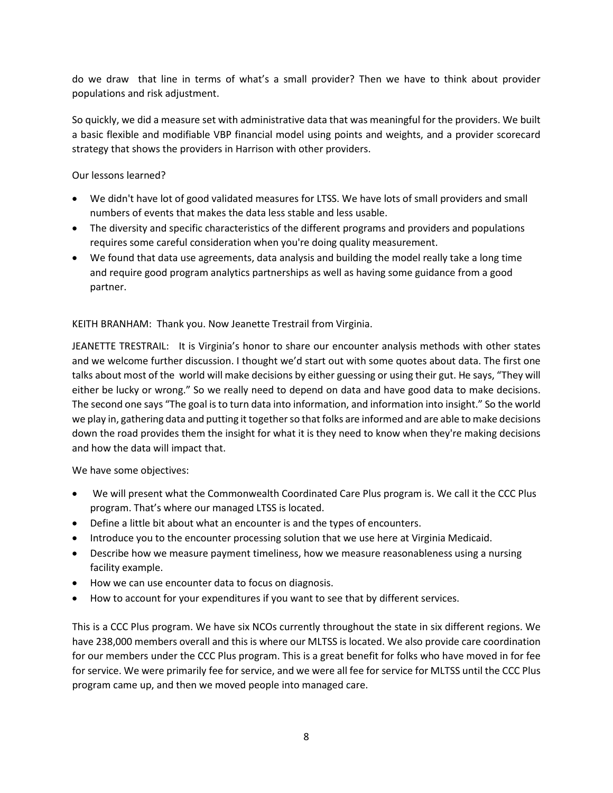do we draw that line in terms of what's a small provider? Then we have to think about provider populations and risk adjustment.

So quickly, we did a measure set with administrative data that was meaningful for the providers. We built a basic flexible and modifiable VBP financial model using points and weights, and a provider scorecard strategy that shows the providers in Harrison with other providers.

Our lessons learned?

- We didn't have lot of good validated measures for LTSS. We have lots of small providers and small numbers of events that makes the data less stable and less usable.
- The diversity and specific characteristics of the different programs and providers and populations requires some careful consideration when you're doing quality measurement.
- We found that data use agreements, data analysis and building the model really take a long time and require good program analytics partnerships as well as having some guidance from a good partner.

KEITH BRANHAM: Thank you. Now Jeanette Trestrail from Virginia.

JEANETTE TRESTRAIL: It is Virginia's honor to share our encounter analysis methods with other states and we welcome further discussion. I thought we'd start out with some quotes about data. The first one talks about most of the world will make decisions by either guessing or using their gut. He says, "They will either be lucky or wrong." So we really need to depend on data and have good data to make decisions. The second one says "The goal is to turn data into information, and information into insight." So the world we play in, gathering data and putting it together so that folks are informed and are able to make decisions down the road provides them the insight for what it is they need to know when they're making decisions and how the data will impact that.

We have some objectives:

- We will present what the Commonwealth Coordinated Care Plus program is. We call it the CCC Plus program. That's where our managed LTSS is located.
- Define a little bit about what an encounter is and the types of encounters.
- Introduce you to the encounter processing solution that we use here at Virginia Medicaid.
- Describe how we measure payment timeliness, how we measure reasonableness using a nursing facility example.
- How we can use encounter data to focus on diagnosis.
- How to account for your expenditures if you want to see that by different services.

This is a CCC Plus program. We have six NCOs currently throughout the state in six different regions. We have 238,000 members overall and this is where our MLTSS is located. We also provide care coordination for our members under the CCC Plus program. This is a great benefit for folks who have moved in for fee for service. We were primarily fee for service, and we were all fee for service for MLTSS until the CCC Plus program came up, and then we moved people into managed care.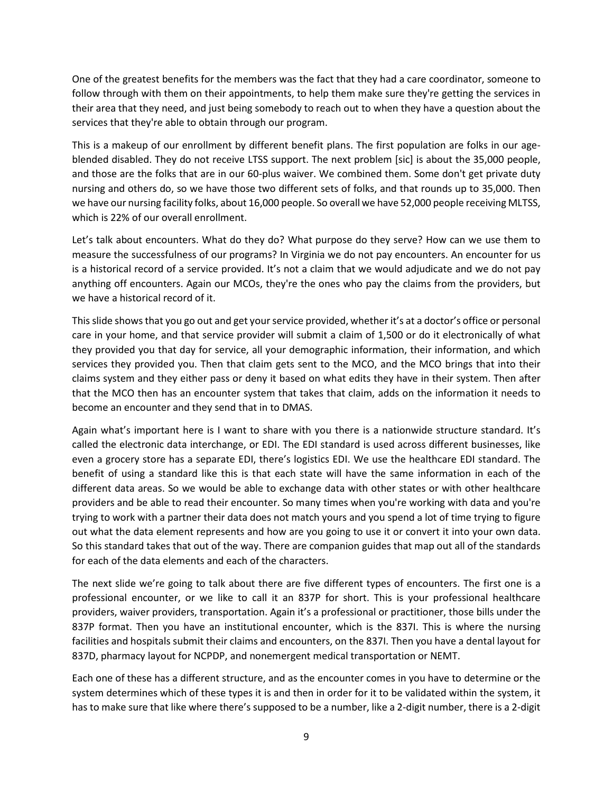One of the greatest benefits for the members was the fact that they had a care coordinator, someone to follow through with them on their appointments, to help them make sure they're getting the services in their area that they need, and just being somebody to reach out to when they have a question about the services that they're able to obtain through our program.

This is a makeup of our enrollment by different benefit plans. The first population are folks in our ageblended disabled. They do not receive LTSS support. The next problem [sic] is about the 35,000 people, and those are the folks that are in our 60-plus waiver. We combined them. Some don't get private duty nursing and others do, so we have those two different sets of folks, and that rounds up to 35,000. Then we have our nursing facility folks, about 16,000 people. So overall we have 52,000 people receiving MLTSS, which is 22% of our overall enrollment.

Let's talk about encounters. What do they do? What purpose do they serve? How can we use them to measure the successfulness of our programs? In Virginia we do not pay encounters. An encounter for us is a historical record of a service provided. It's not a claim that we would adjudicate and we do not pay anything off encounters. Again our MCOs, they're the ones who pay the claims from the providers, but we have a historical record of it.

This slide shows that you go out and get your service provided, whether it's at a doctor's office or personal care in your home, and that service provider will submit a claim of 1,500 or do it electronically of what they provided you that day for service, all your demographic information, their information, and which services they provided you. Then that claim gets sent to the MCO, and the MCO brings that into their claims system and they either pass or deny it based on what edits they have in their system. Then after that the MCO then has an encounter system that takes that claim, adds on the information it needs to become an encounter and they send that in to DMAS.

Again what's important here is I want to share with you there is a nationwide structure standard. It's called the electronic data interchange, or EDI. The EDI standard is used across different businesses, like even a grocery store has a separate EDI, there's logistics EDI. We use the healthcare EDI standard. The benefit of using a standard like this is that each state will have the same information in each of the different data areas. So we would be able to exchange data with other states or with other healthcare providers and be able to read their encounter. So many times when you're working with data and you're trying to work with a partner their data does not match yours and you spend a lot of time trying to figure out what the data element represents and how are you going to use it or convert it into your own data. So this standard takes that out of the way. There are companion guides that map out all of the standards for each of the data elements and each of the characters.

The next slide we're going to talk about there are five different types of encounters. The first one is a professional encounter, or we like to call it an 837P for short. This is your professional healthcare providers, waiver providers, transportation. Again it's a professional or practitioner, those bills under the 837P format. Then you have an institutional encounter, which is the 837I. This is where the nursing facilities and hospitals submit their claims and encounters, on the 837I. Then you have a dental layout for 837D, pharmacy layout for NCPDP, and nonemergent medical transportation or NEMT.

Each one of these has a different structure, and as the encounter comes in you have to determine or the system determines which of these types it is and then in order for it to be validated within the system, it has to make sure that like where there's supposed to be a number, like a 2-digit number, there is a 2-digit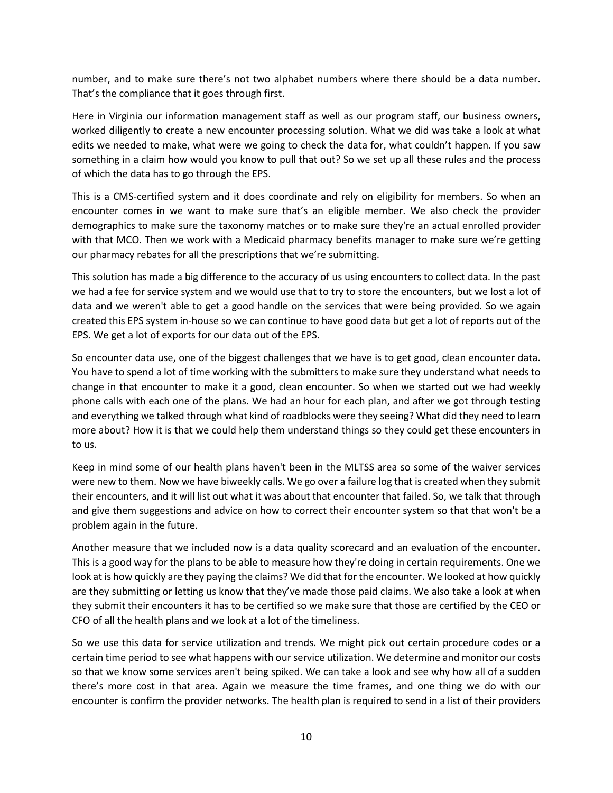number, and to make sure there's not two alphabet numbers where there should be a data number. That's the compliance that it goes through first.

Here in Virginia our information management staff as well as our program staff, our business owners, worked diligently to create a new encounter processing solution. What we did was take a look at what edits we needed to make, what were we going to check the data for, what couldn't happen. If you saw something in a claim how would you know to pull that out? So we set up all these rules and the process of which the data has to go through the EPS.

This is a CMS-certified system and it does coordinate and rely on eligibility for members. So when an encounter comes in we want to make sure that's an eligible member. We also check the provider demographics to make sure the taxonomy matches or to make sure they're an actual enrolled provider with that MCO. Then we work with a Medicaid pharmacy benefits manager to make sure we're getting our pharmacy rebates for all the prescriptions that we're submitting.

This solution has made a big difference to the accuracy of us using encounters to collect data. In the past we had a fee for service system and we would use that to try to store the encounters, but we lost a lot of data and we weren't able to get a good handle on the services that were being provided. So we again created this EPS system in-house so we can continue to have good data but get a lot of reports out of the EPS. We get a lot of exports for our data out of the EPS.

So encounter data use, one of the biggest challenges that we have is to get good, clean encounter data. You have to spend a lot of time working with the submitters to make sure they understand what needs to change in that encounter to make it a good, clean encounter. So when we started out we had weekly phone calls with each one of the plans. We had an hour for each plan, and after we got through testing and everything we talked through what kind of roadblocks were they seeing? What did they need to learn more about? How it is that we could help them understand things so they could get these encounters in to us.

Keep in mind some of our health plans haven't been in the MLTSS area so some of the waiver services were new to them. Now we have biweekly calls. We go over a failure log that is created when they submit their encounters, and it will list out what it was about that encounter that failed. So, we talk that through and give them suggestions and advice on how to correct their encounter system so that that won't be a problem again in the future.

Another measure that we included now is a data quality scorecard and an evaluation of the encounter. This is a good way for the plans to be able to measure how they're doing in certain requirements. One we look at is how quickly are they paying the claims? We did that for the encounter. We looked at how quickly are they submitting or letting us know that they've made those paid claims. We also take a look at when they submit their encounters it has to be certified so we make sure that those are certified by the CEO or CFO of all the health plans and we look at a lot of the timeliness.

So we use this data for service utilization and trends. We might pick out certain procedure codes or a certain time period to see what happens with our service utilization. We determine and monitor our costs so that we know some services aren't being spiked. We can take a look and see why how all of a sudden there's more cost in that area. Again we measure the time frames, and one thing we do with our encounter is confirm the provider networks. The health plan is required to send in a list of their providers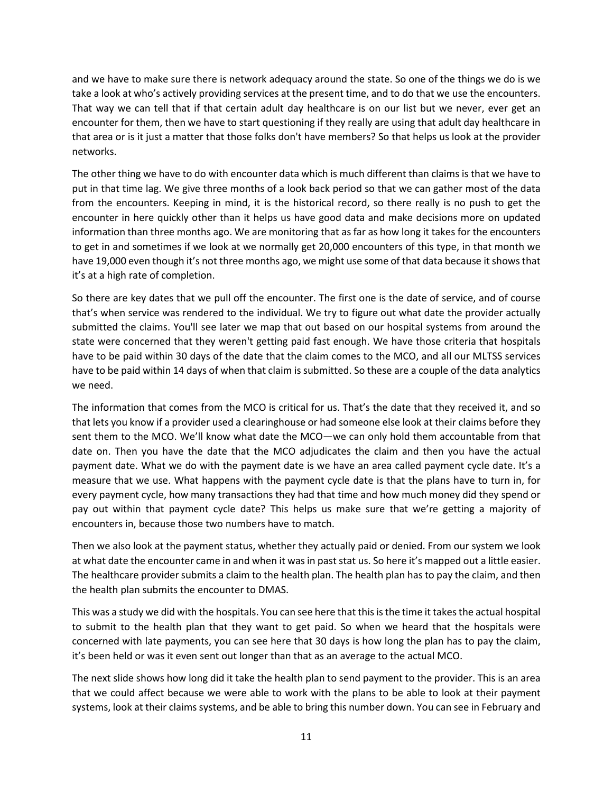and we have to make sure there is network adequacy around the state. So one of the things we do is we take a look at who's actively providing services at the present time, and to do that we use the encounters. That way we can tell that if that certain adult day healthcare is on our list but we never, ever get an encounter for them, then we have to start questioning if they really are using that adult day healthcare in that area or is it just a matter that those folks don't have members? So that helps us look at the provider networks.

The other thing we have to do with encounter data which is much different than claims is that we have to put in that time lag. We give three months of a look back period so that we can gather most of the data from the encounters. Keeping in mind, it is the historical record, so there really is no push to get the encounter in here quickly other than it helps us have good data and make decisions more on updated information than three months ago. We are monitoring that as far as how long it takes for the encounters to get in and sometimes if we look at we normally get 20,000 encounters of this type, in that month we have 19,000 even though it's not three months ago, we might use some of that data because it shows that it's at a high rate of completion.

So there are key dates that we pull off the encounter. The first one is the date of service, and of course that's when service was rendered to the individual. We try to figure out what date the provider actually submitted the claims. You'll see later we map that out based on our hospital systems from around the state were concerned that they weren't getting paid fast enough. We have those criteria that hospitals have to be paid within 30 days of the date that the claim comes to the MCO, and all our MLTSS services have to be paid within 14 days of when that claim is submitted. So these are a couple of the data analytics we need.

The information that comes from the MCO is critical for us. That's the date that they received it, and so that lets you know if a provider used a clearinghouse or had someone else look at their claims before they sent them to the MCO. We'll know what date the MCO—we can only hold them accountable from that date on. Then you have the date that the MCO adjudicates the claim and then you have the actual payment date. What we do with the payment date is we have an area called payment cycle date. It's a measure that we use. What happens with the payment cycle date is that the plans have to turn in, for every payment cycle, how many transactions they had that time and how much money did they spend or pay out within that payment cycle date? This helps us make sure that we're getting a majority of encounters in, because those two numbers have to match.

Then we also look at the payment status, whether they actually paid or denied. From our system we look at what date the encounter came in and when it was in past stat us. So here it's mapped out a little easier. The healthcare provider submits a claim to the health plan. The health plan has to pay the claim, and then the health plan submits the encounter to DMAS.

This was a study we did with the hospitals. You can see here that this is the time it takes the actual hospital to submit to the health plan that they want to get paid. So when we heard that the hospitals were concerned with late payments, you can see here that 30 days is how long the plan has to pay the claim, it's been held or was it even sent out longer than that as an average to the actual MCO.

The next slide shows how long did it take the health plan to send payment to the provider. This is an area that we could affect because we were able to work with the plans to be able to look at their payment systems, look at their claims systems, and be able to bring this number down. You can see in February and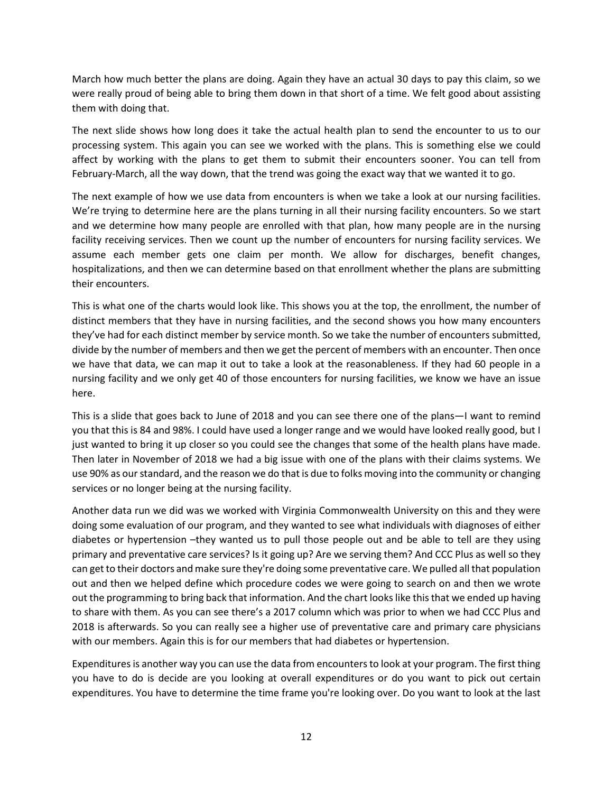March how much better the plans are doing. Again they have an actual 30 days to pay this claim, so we were really proud of being able to bring them down in that short of a time. We felt good about assisting them with doing that.

The next slide shows how long does it take the actual health plan to send the encounter to us to our processing system. This again you can see we worked with the plans. This is something else we could affect by working with the plans to get them to submit their encounters sooner. You can tell from February-March, all the way down, that the trend was going the exact way that we wanted it to go.

The next example of how we use data from encounters is when we take a look at our nursing facilities. We're trying to determine here are the plans turning in all their nursing facility encounters. So we start and we determine how many people are enrolled with that plan, how many people are in the nursing facility receiving services. Then we count up the number of encounters for nursing facility services. We assume each member gets one claim per month. We allow for discharges, benefit changes, hospitalizations, and then we can determine based on that enrollment whether the plans are submitting their encounters.

This is what one of the charts would look like. This shows you at the top, the enrollment, the number of distinct members that they have in nursing facilities, and the second shows you how many encounters they've had for each distinct member by service month. So we take the number of encounters submitted, divide by the number of members and then we get the percent of members with an encounter. Then once we have that data, we can map it out to take a look at the reasonableness. If they had 60 people in a nursing facility and we only get 40 of those encounters for nursing facilities, we know we have an issue here.

This is a slide that goes back to June of 2018 and you can see there one of the plans—I want to remind you that this is 84 and 98%. I could have used a longer range and we would have looked really good, but I just wanted to bring it up closer so you could see the changes that some of the health plans have made. Then later in November of 2018 we had a big issue with one of the plans with their claims systems. We use 90% as our standard, and the reason we do that is due to folks moving into the community or changing services or no longer being at the nursing facility.

Another data run we did was we worked with Virginia Commonwealth University on this and they were doing some evaluation of our program, and they wanted to see what individuals with diagnoses of either diabetes or hypertension –they wanted us to pull those people out and be able to tell are they using primary and preventative care services? Is it going up? Are we serving them? And CCC Plus as well so they can get to their doctors and make sure they're doing some preventative care. We pulled all that population out and then we helped define which procedure codes we were going to search on and then we wrote out the programming to bring back that information. And the chart looks like this that we ended up having to share with them. As you can see there's a 2017 column which was prior to when we had CCC Plus and 2018 is afterwards. So you can really see a higher use of preventative care and primary care physicians with our members. Again this is for our members that had diabetes or hypertension.

Expenditures is another way you can use the data from encounters to look at your program. The first thing you have to do is decide are you looking at overall expenditures or do you want to pick out certain expenditures. You have to determine the time frame you're looking over. Do you want to look at the last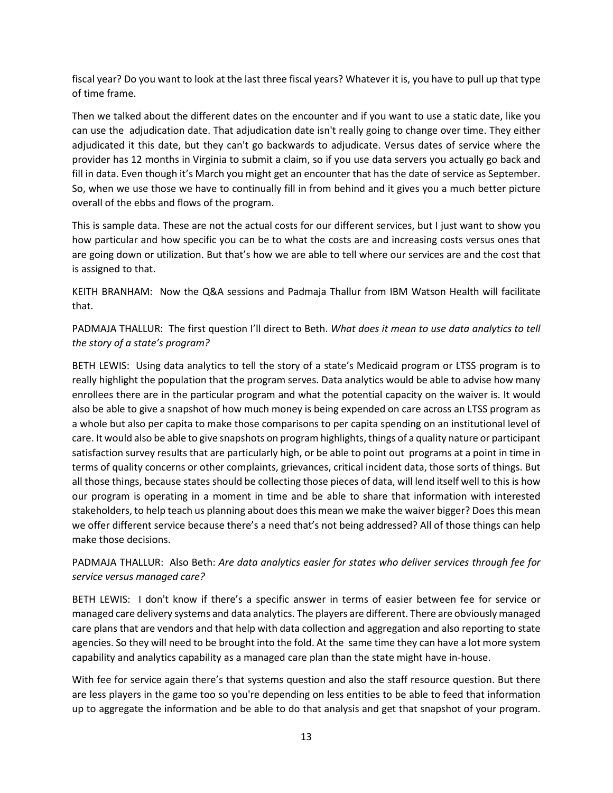fiscal year? Do you want to look at the last three fiscal years? Whatever it is, you have to pull up that type of time frame.

Then we talked about the different dates on the encounter and if you want to use a static date, like you can use the adjudication date. That adjudication date isn't really going to change over time. They either adjudicated it this date, but they can't go backwards to adjudicate. Versus dates of service where the provider has 12 months in Virginia to submit a claim, so if you use data servers you actually go back and fill in data. Even though it's March you might get an encounter that has the date of service as September. So, when we use those we have to continually fill in from behind and it gives you a much better picture overall of the ebbs and flows of the program.

This is sample data. These are not the actual costs for our different services, but I just want to show you how particular and how specific you can be to what the costs are and increasing costs versus ones that are going down or utilization. But that's how we are able to tell where our services are and the cost that is assigned to that.

KEITH BRANHAM: Now the Q&A sessions and Padmaja Thallur from IBM Watson Health will facilitate that.

PADMAJA THALLUR: The first question I'll direct to Beth. *What does it mean to use data analytics to tell the story of a state's program?*

BETH LEWIS: Using data analytics to tell the story of a state's Medicaid program or LTSS program is to really highlight the population that the program serves. Data analytics would be able to advise how many enrollees there are in the particular program and what the potential capacity on the waiver is. It would also be able to give a snapshot of how much money is being expended on care across an LTSS program as a whole but also per capita to make those comparisons to per capita spending on an institutional level of care. It would also be able to give snapshots on program highlights, things of a quality nature or participant satisfaction survey results that are particularly high, or be able to point out programs at a point in time in terms of quality concerns or other complaints, grievances, critical incident data, those sorts of things. But all those things, because states should be collecting those pieces of data, will lend itself well to this is how our program is operating in a moment in time and be able to share that information with interested stakeholders, to help teach us planning about does this mean we make the waiver bigger? Does this mean we offer different service because there's a need that's not being addressed? All of those things can help make those decisions.

PADMAJA THALLUR: Also Beth: *Are data analytics easier for states who deliver services through fee for service versus managed care?*

BETH LEWIS: I don't know if there's a specific answer in terms of easier between fee for service or managed care delivery systems and data analytics. The players are different. There are obviously managed care plans that are vendors and that help with data collection and aggregation and also reporting to state agencies. So they will need to be brought into the fold. At the same time they can have a lot more system capability and analytics capability as a managed care plan than the state might have in-house.

With fee for service again there's that systems question and also the staff resource question. But there are less players in the game too so you're depending on less entities to be able to feed that information up to aggregate the information and be able to do that analysis and get that snapshot of your program.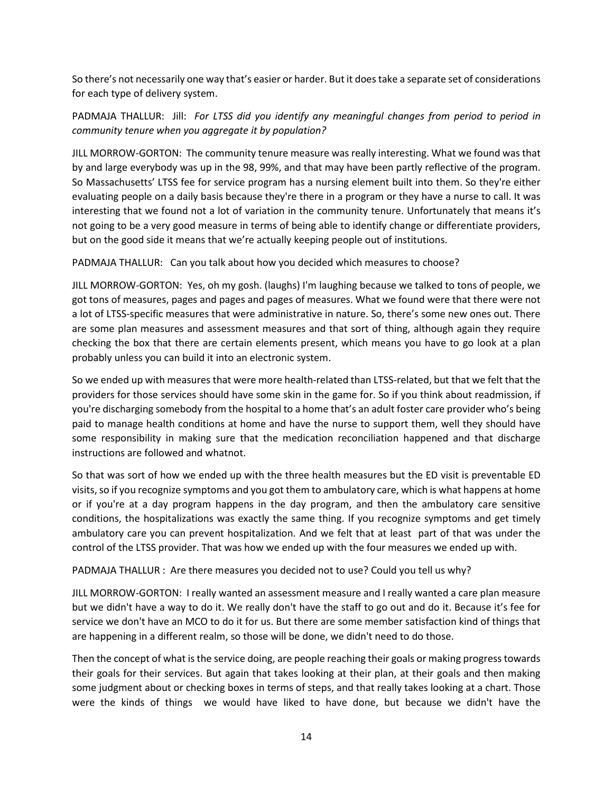So there's not necessarily one way that's easier or harder. But it does take a separate set of considerations for each type of delivery system.

PADMAJA THALLUR: Jill: *For LTSS did you identify any meaningful changes from period to period in community tenure when you aggregate it by population?*

JILL MORROW-GORTON: The community tenure measure was really interesting. What we found was that by and large everybody was up in the 98, 99%, and that may have been partly reflective of the program. So Massachusetts' LTSS fee for service program has a nursing element built into them. So they're either evaluating people on a daily basis because they're there in a program or they have a nurse to call. It was interesting that we found not a lot of variation in the community tenure. Unfortunately that means it's not going to be a very good measure in terms of being able to identify change or differentiate providers, but on the good side it means that we're actually keeping people out of institutions.

PADMAJA THALLUR: Can you talk about how you decided which measures to choose?

JILL MORROW-GORTON: Yes, oh my gosh. (laughs) I'm laughing because we talked to tons of people, we got tons of measures, pages and pages and pages of measures. What we found were that there were not a lot of LTSS-specific measures that were administrative in nature. So, there's some new ones out. There are some plan measures and assessment measures and that sort of thing, although again they require checking the box that there are certain elements present, which means you have to go look at a plan probably unless you can build it into an electronic system.

So we ended up with measures that were more health-related than LTSS-related, but that we felt that the providers for those services should have some skin in the game for. So if you think about readmission, if you're discharging somebody from the hospital to a home that's an adult foster care provider who's being paid to manage health conditions at home and have the nurse to support them, well they should have some responsibility in making sure that the medication reconciliation happened and that discharge instructions are followed and whatnot.

So that was sort of how we ended up with the three health measures but the ED visit is preventable ED visits, so if you recognize symptoms and you got them to ambulatory care, which is what happens at home or if you're at a day program happens in the day program, and then the ambulatory care sensitive conditions, the hospitalizations was exactly the same thing. If you recognize symptoms and get timely ambulatory care you can prevent hospitalization. And we felt that at least part of that was under the control of the LTSS provider. That was how we ended up with the four measures we ended up with.

PADMAJA THALLUR : Are there measures you decided not to use? Could you tell us why?

JILL MORROW-GORTON: I really wanted an assessment measure and I really wanted a care plan measure but we didn't have a way to do it. We really don't have the staff to go out and do it. Because it's fee for service we don't have an MCO to do it for us. But there are some member satisfaction kind of things that are happening in a different realm, so those will be done, we didn't need to do those.

Then the concept of what is the service doing, are people reaching their goals or making progress towards their goals for their services. But again that takes looking at their plan, at their goals and then making some judgment about or checking boxes in terms of steps, and that really takes looking at a chart. Those were the kinds of things we would have liked to have done, but because we didn't have the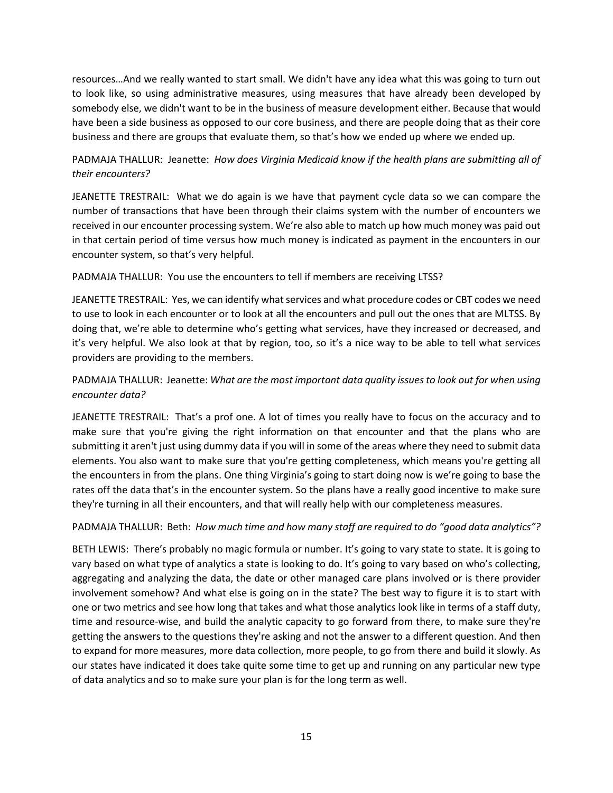resources…And we really wanted to start small. We didn't have any idea what this was going to turn out to look like, so using administrative measures, using measures that have already been developed by somebody else, we didn't want to be in the business of measure development either. Because that would have been a side business as opposed to our core business, and there are people doing that as their core business and there are groups that evaluate them, so that's how we ended up where we ended up.

## PADMAJA THALLUR: Jeanette: *How does Virginia Medicaid know if the health plans are submitting all of their encounters?*

JEANETTE TRESTRAIL: What we do again is we have that payment cycle data so we can compare the number of transactions that have been through their claims system with the number of encounters we received in our encounter processing system. We're also able to match up how much money was paid out in that certain period of time versus how much money is indicated as payment in the encounters in our encounter system, so that's very helpful.

#### PADMAJA THALLUR: You use the encounters to tell if members are receiving LTSS?

JEANETTE TRESTRAIL: Yes, we can identify what services and what procedure codes or CBT codes we need to use to look in each encounter or to look at all the encounters and pull out the ones that are MLTSS. By doing that, we're able to determine who's getting what services, have they increased or decreased, and it's very helpful. We also look at that by region, too, so it's a nice way to be able to tell what services providers are providing to the members.

## PADMAJA THALLUR: Jeanette: *What are the most important data quality issues to look out for when using encounter data?*

JEANETTE TRESTRAIL: That's a prof one. A lot of times you really have to focus on the accuracy and to make sure that you're giving the right information on that encounter and that the plans who are submitting it aren't just using dummy data if you will in some of the areas where they need to submit data elements. You also want to make sure that you're getting completeness, which means you're getting all the encounters in from the plans. One thing Virginia's going to start doing now is we're going to base the rates off the data that's in the encounter system. So the plans have a really good incentive to make sure they're turning in all their encounters, and that will really help with our completeness measures.

#### PADMAJA THALLUR: Beth: *How much time and how many staff are required to do "good data analytics"?*

BETH LEWIS: There's probably no magic formula or number. It's going to vary state to state. It is going to vary based on what type of analytics a state is looking to do. It's going to vary based on who's collecting, aggregating and analyzing the data, the date or other managed care plans involved or is there provider involvement somehow? And what else is going on in the state? The best way to figure it is to start with one or two metrics and see how long that takes and what those analytics look like in terms of a staff duty, time and resource-wise, and build the analytic capacity to go forward from there, to make sure they're getting the answers to the questions they're asking and not the answer to a different question. And then to expand for more measures, more data collection, more people, to go from there and build it slowly. As our states have indicated it does take quite some time to get up and running on any particular new type of data analytics and so to make sure your plan is for the long term as well.